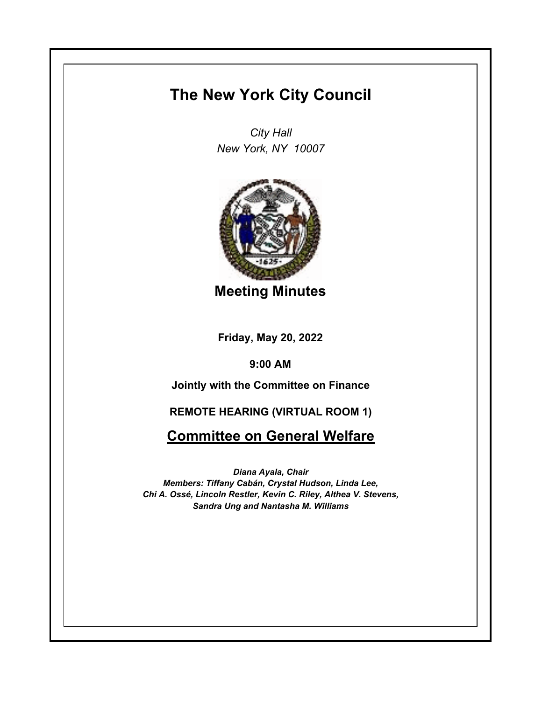# **The New York City Council**

*City Hall New York, NY 10007*



**Meeting Minutes**

**Friday, May 20, 2022**

**9:00 AM**

**Jointly with the Committee on Finance**

**REMOTE HEARING (VIRTUAL ROOM 1)**

**Committee on General Welfare**

*Diana Ayala, Chair Members: Tiffany Cabán, Crystal Hudson, Linda Lee, Chi A. Ossé, Lincoln Restler, Kevin C. Riley, Althea V. Stevens, Sandra Ung and Nantasha M. Williams*